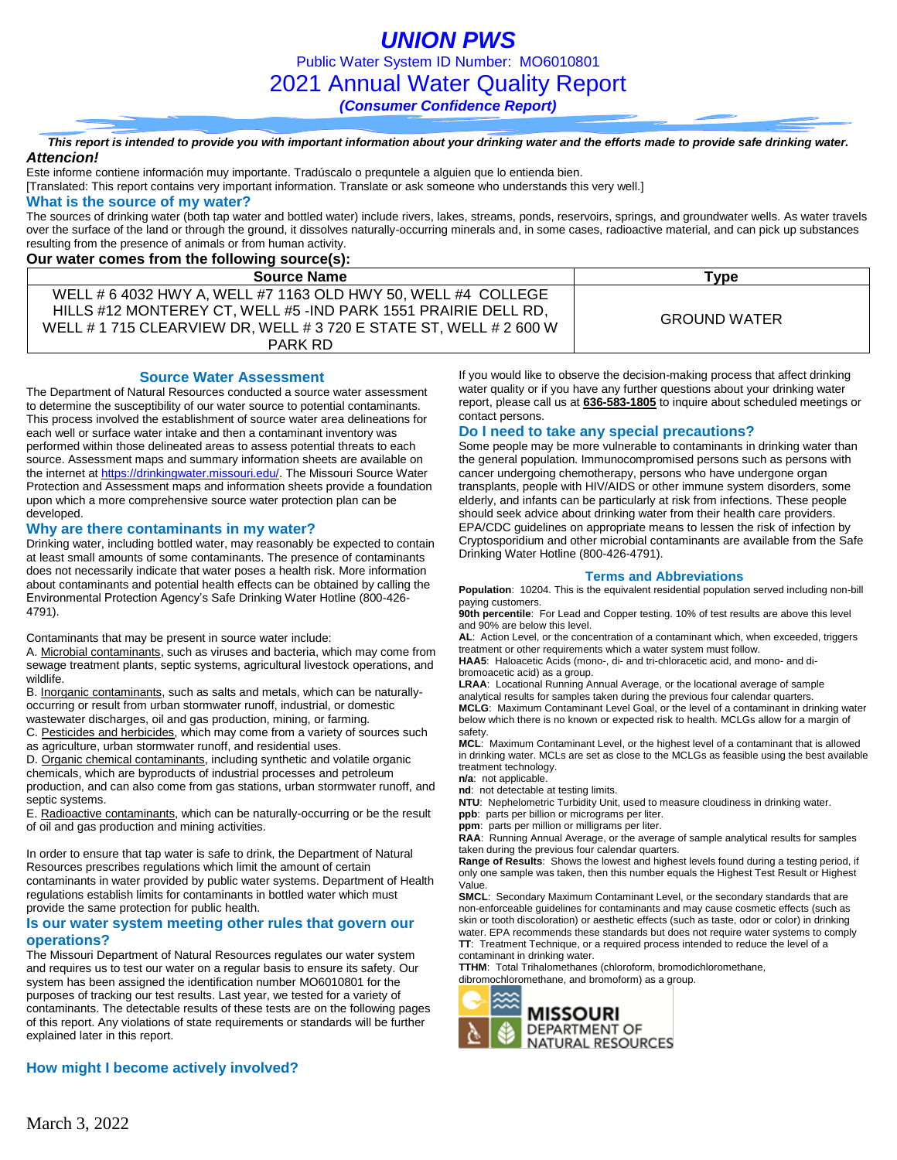*UNION PWS* Public Water System ID Number: MO6010801 2021 Annual Water Quality Report *(Consumer Confidence Report)*

*This report is intended to provide you with important information about your drinking water and the efforts made to provide safe drinking water. Attencion!*

Este informe contiene información muy importante. Tradúscalo o prequntele a alguien que lo entienda bien.

[Translated: This report contains very important information. Translate or ask someone who understands this very well.]

#### **What is the source of my water?**

The sources of drinking water (both tap water and bottled water) include rivers, lakes, streams, ponds, reservoirs, springs, and groundwater wells. As water travels over the surface of the land or through the ground, it dissolves naturally-occurring minerals and, in some cases, radioactive material, and can pick up substances resulting from the presence of animals or from human activity.

### **Our water comes from the following source(s):**

| <u>sai haloi sonioo ironi mo ronoming oodi sojoji</u>              |                     |
|--------------------------------------------------------------------|---------------------|
| <b>Source Name</b>                                                 | Туре                |
| WELL # 6 4032 HWY A, WELL #7 1163 OLD HWY 50, WELL #4 COLLEGE      |                     |
| HILLS #12 MONTEREY CT, WELL #5 -IND PARK 1551 PRAIRIE DELL RD,     | <b>GROUND WATER</b> |
| WELL # 1 715 CLEARVIEW DR, WELL # 3 720 E STATE ST, WELL # 2 600 W |                     |
| PARK RD                                                            |                     |

**Source Water Assessment**

The Department of Natural Resources conducted a source water assessment to determine the susceptibility of our water source to potential contaminants. This process involved the establishment of source water area delineations for each well or surface water intake and then a contaminant inventory was performed within those delineated areas to assess potential threats to each source. Assessment maps and summary information sheets are available on the internet a[t https://drinkingwater.missouri.edu/.](https://drinkingwater.missouri.edu/) The Missouri Source Water Protection and Assessment maps and information sheets provide a foundation upon which a more comprehensive source water protection plan can be developed.

#### **Why are there contaminants in my water?**

Drinking water, including bottled water, may reasonably be expected to contain at least small amounts of some contaminants. The presence of contaminants does not necessarily indicate that water poses a health risk. More information about contaminants and potential health effects can be obtained by calling the Environmental Protection Agency's Safe Drinking Water Hotline (800-426- 4791).

Contaminants that may be present in source water include:

A. Microbial contaminants, such as viruses and bacteria, which may come from sewage treatment plants, septic systems, agricultural livestock operations, and wildlife.

B. Inorganic contaminants, such as salts and metals, which can be naturallyoccurring or result from urban stormwater runoff, industrial, or domestic wastewater discharges, oil and gas production, mining, or farming.

C. Pesticides and herbicides, which may come from a variety of sources such as agriculture, urban stormwater runoff, and residential uses.

D. Organic chemical contaminants, including synthetic and volatile organic chemicals, which are byproducts of industrial processes and petroleum production, and can also come from gas stations, urban stormwater runoff, and septic systems.

E. Radioactive contaminants, which can be naturally-occurring or be the result of oil and gas production and mining activities.

In order to ensure that tap water is safe to drink, the Department of Natural Resources prescribes regulations which limit the amount of certain contaminants in water provided by public water systems. Department of Health regulations establish limits for contaminants in bottled water which must provide the same protection for public health.

#### **Is our water system meeting other rules that govern our operations?**

The Missouri Department of Natural Resources regulates our water system and requires us to test our water on a regular basis to ensure its safety. Our system has been assigned the identification number MO6010801 for the purposes of tracking our test results. Last year, we tested for a variety of contaminants. The detectable results of these tests are on the following pages of this report. Any violations of state requirements or standards will be further explained later in this report.

If you would like to observe the decision-making process that affect drinking water quality or if you have any further questions about your drinking water report, please call us at **636-583-1805** to inquire about scheduled meetings or contact persons.

#### **Do I need to take any special precautions?**

Some people may be more vulnerable to contaminants in drinking water than the general population. Immunocompromised persons such as persons with cancer undergoing chemotherapy, persons who have undergone organ transplants, people with HIV/AIDS or other immune system disorders, some elderly, and infants can be particularly at risk from infections. These people should seek advice about drinking water from their health care providers. EPA/CDC guidelines on appropriate means to lessen the risk of infection by Cryptosporidium and other microbial contaminants are available from the Safe Drinking Water Hotline (800-426-4791).

#### **Terms and Abbreviations**

**Population**: 10204. This is the equivalent residential population served including non-bill paying customers.

**90th percentile**: For Lead and Copper testing. 10% of test results are above this level and 90% are below this level.

**AL**: Action Level, or the concentration of a contaminant which, when exceeded, triggers treatment or other requirements which a water system must follow.

**HAA5**: Haloacetic Acids (mono-, di- and tri-chloracetic acid, and mono- and dibromoacetic acid) as a group.

**LRAA**: Locational Running Annual Average, or the locational average of sample analytical results for samples taken during the previous four calendar quarters.

**MCLG**: Maximum Contaminant Level Goal, or the level of a contaminant in drinking water below which there is no known or expected risk to health. MCLGs allow for a margin of safety.

**MCL**: Maximum Contaminant Level, or the highest level of a contaminant that is allowed in drinking water. MCLs are set as close to the MCLGs as feasible using the best available treatment technology.

**n/a**: not applicable.

**nd**: not detectable at testing limits.

**NTU**: Nephelometric Turbidity Unit, used to measure cloudiness in drinking water. **ppb**: parts per billion or micrograms per liter.

**ppm**: parts per million or milligrams per liter.

**RAA**: Running Annual Average, or the average of sample analytical results for samples taken during the previous four calendar quarters.

**Range of Results**: Shows the lowest and highest levels found during a testing period, if only one sample was taken, then this number equals the Highest Test Result or Highest Value.

**SMCL**: Secondary Maximum Contaminant Level, or the secondary standards that are non-enforceable guidelines for contaminants and may cause cosmetic effects (such as skin or tooth discoloration) or aesthetic effects (such as taste, odor or color) in drinking water. EPA recommends these standards but does not require water systems to comply **TT**: Treatment Technique, or a required process intended to reduce the level of a contaminant in drinking water.

**TTHM**: Total Trihalomethanes (chloroform, bromodichloromethane, dibromochloromethane, and bromoform) as a group.



### **How might I become actively involved?**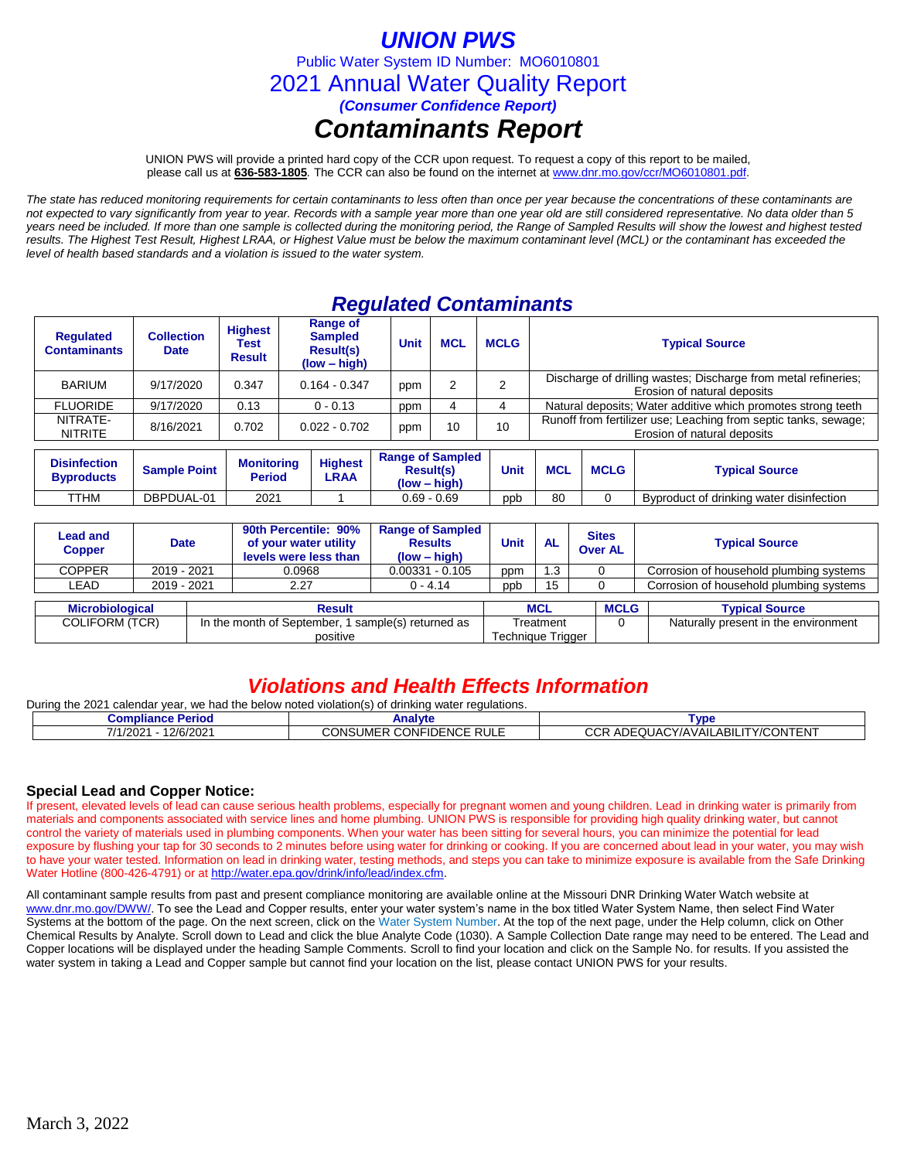## *UNION PWS*

Public Water System ID Number: MO6010801

2021 Annual Water Quality Report

*(Consumer Confidence Report)*

# *Contaminants Report*

UNION PWS will provide a printed hard copy of the CCR upon request. To request a copy of this report to be mailed, please call us at **636-583-1805***.* The CCR can also be found on the internet at www.dnr.mo.gov/ccr/MO6010801.pdf.

*The state has reduced monitoring requirements for certain contaminants to less often than once per year because the concentrations of these contaminants are not expected to vary significantly from year to year. Records with a sample year more than one year old are still considered representative. No data older than 5 years need be included. If more than one sample is collected during the monitoring period, the Range of Sampled Results will show the lowest and highest tested results. The Highest Test Result, Highest LRAA, or Highest Value must be below the maximum contaminant level (MCL) or the contaminant has exceeded the level of health based standards and a violation is issued to the water system.* 

### *Regulated Contaminants*

| <b>Requlated</b><br><b>Contaminants</b> | <b>Collection</b><br><b>Date</b> | <b>Highest</b><br>Test<br><b>Result</b> | Range of<br><b>Sampled</b><br><b>Result(s)</b><br>$(low - high)$ | <b>Unit</b> | <b>MCL</b> | <b>MCLG</b> | <b>Typical Source</b>                                                                          |  |  |
|-----------------------------------------|----------------------------------|-----------------------------------------|------------------------------------------------------------------|-------------|------------|-------------|------------------------------------------------------------------------------------------------|--|--|
| <b>BARIUM</b>                           | 9/17/2020                        | 0.347                                   | $0.164 - 0.347$                                                  | ppm         |            |             | Discharge of drilling wastes; Discharge from metal refineries;<br>Erosion of natural deposits  |  |  |
| <b>FLUORIDE</b>                         | 9/17/2020                        | 0.13                                    | $0 - 0.13$                                                       | ppm         |            |             | Natural deposits; Water additive which promotes strong teeth                                   |  |  |
| NITRATE-<br><b>NITRITE</b>              | 8/16/2021                        | 0.702                                   | $0.022 - 0.702$                                                  | ppm         | 10         | 10          | Runoff from fertilizer use; Leaching from septic tanks, sewage;<br>Erosion of natural deposits |  |  |
|                                         |                                  |                                         |                                                                  |             |            |             |                                                                                                |  |  |

| <b>Disinfection</b><br><b>B</b> vproducts | <b>Sample Point</b> | <b>Monitoring</b><br>Period | <b>Highest</b><br>LRAA | <b>Range of Sampled</b><br><b>Result(s)</b><br>$(low - high)$ | Unit | <b>MCL</b> | <b>MCLG</b> | <b>Typical Source</b>                    |
|-------------------------------------------|---------------------|-----------------------------|------------------------|---------------------------------------------------------------|------|------------|-------------|------------------------------------------|
| TTHM                                      | DBPDUAL-01          | 2021                        |                        | $0.69 - 0.69$                                                 | ppb  | 80         |             | Byproduct of drinking water disinfection |

| <b>Lead and</b><br><b>Copper</b> | <b>Date</b> |  | 90th Percentile: 90%<br>of your water utility<br>levels were less than | <b>Range of Sampled</b><br><b>Results</b><br>$(low - high)$ | Unit<br><b>AL</b> |                   | <b>Sites</b><br><b>Over AL</b> | <b>Typical Source</b>                   |
|----------------------------------|-------------|--|------------------------------------------------------------------------|-------------------------------------------------------------|-------------------|-------------------|--------------------------------|-----------------------------------------|
| <b>COPPER</b>                    | 2019 - 2021 |  | 0.0968                                                                 | $0.00331 - 0.105$                                           | ppm               | .3                |                                | Corrosion of household plumbing systems |
| LEAD                             | 2019 - 2021 |  | 2.27                                                                   | $0 - 4.14$                                                  | ppb               | 15                |                                | Corrosion of household plumbing systems |
|                                  |             |  |                                                                        |                                                             |                   |                   |                                |                                         |
| <b>Microbiological</b>           |             |  | <b>Result</b>                                                          |                                                             | <b>MCL</b>        |                   | <b>MCLG</b>                    | <b>Typical Source</b>                   |
| <b>COLIFORM (TCR)</b>            |             |  | In the month of September, 1 sample(s) returned as                     |                                                             | Treatment         |                   |                                | Naturally present in the environment    |
|                                  |             |  | positive                                                               |                                                             |                   | Technique Trigger |                                |                                         |

### *Violations and Health Effects Information*

| During the 2021<br>l calendar vear. we had the below noted violation(s) of drinking water regulations. |                                 |                                   |  |  |  |  |  |  |
|--------------------------------------------------------------------------------------------------------|---------------------------------|-----------------------------------|--|--|--|--|--|--|
| Compliance Period                                                                                      | Analvte                         | <b>Tvpe</b>                       |  |  |  |  |  |  |
| 12/6/2021<br>7/1/2021                                                                                  | <b>CONSUMER CONFIDENCE RULE</b> | CCR ADEQUACY/AVAILABILITY/CONTENT |  |  |  |  |  |  |

### **Special Lead and Copper Notice:**

If present, elevated levels of lead can cause serious health problems, especially for pregnant women and young children. Lead in drinking water is primarily from materials and components associated with service lines and home plumbing. UNION PWS is responsible for providing high quality drinking water, but cannot control the variety of materials used in plumbing components. When your water has been sitting for several hours, you can minimize the potential for lead exposure by flushing your tap for 30 seconds to 2 minutes before using water for drinking or cooking. If you are concerned about lead in your water, you may wish to have your water tested. Information on lead in drinking water, testing methods, and steps you can take to minimize exposure is available from the Safe Drinking Water Hotline (800-426-4791) or at [http://water.epa.gov/drink/info/lead/index.cfm.](http://water.epa.gov/drink/info/lead/index.cfm)

All contaminant sample results from past and present compliance monitoring are available online at the Missouri DNR Drinking Water Watch website at [www.dnr.mo.gov/DWW/.](http://www.dnr.mo.gov/DWW/) To see the Lead and Copper results, enter your water system's name in the box titled Water System Name, then select Find Water Systems at the bottom of the page. On the next screen, click on the Water System Number. At the top of the next page, under the Help column, click on Other Chemical Results by Analyte. Scroll down to Lead and click the blue Analyte Code (1030). A Sample Collection Date range may need to be entered. The Lead and Copper locations will be displayed under the heading Sample Comments. Scroll to find your location and click on the Sample No. for results. If you assisted the water system in taking a Lead and Copper sample but cannot find your location on the list, please contact UNION PWS for your results.